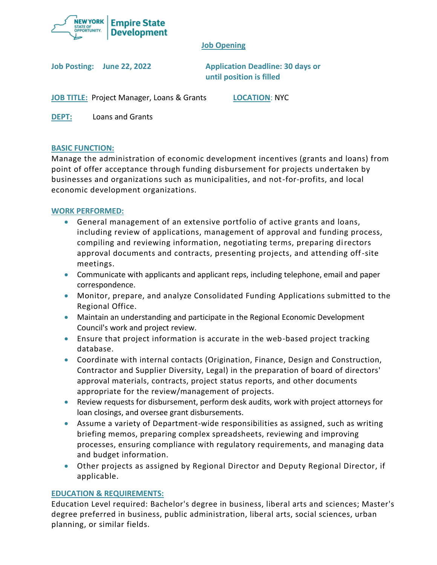

# **Job Opening**

**Job Posting: June 22, 2022 Application Deadline: 30 days or until position is filled**

**JOB TITLE:** Project Manager, Loans & Grants **LOCATION**: NYC

**DEPT:** Loans and Grants

# **BASIC FUNCTION:**

Manage the administration of economic development incentives (grants and loans) from point of offer acceptance through funding disbursement for projects undertaken by businesses and organizations such as municipalities, and not-for-profits, and local economic development organizations.

# **WORK PERFORMED:**

- General management of an extensive portfolio of active grants and loans, including review of applications, management of approval and funding process, compiling and reviewing information, negotiating terms, preparing directors approval documents and contracts, presenting projects, and attending off-site meetings.
- Communicate with applicants and applicant reps, including telephone, email and paper correspondence.
- Monitor, prepare, and analyze Consolidated Funding Applications submitted to the Regional Office.
- Maintain an understanding and participate in the Regional Economic Development Council's work and project review.
- Ensure that project information is accurate in the web-based project tracking database.
- Coordinate with internal contacts (Origination, Finance, Design and Construction, Contractor and Supplier Diversity, Legal) in the preparation of board of directors' approval materials, contracts, project status reports, and other documents appropriate for the review/management of projects.
- Review requests for disbursement, perform desk audits, work with project attorneys for loan closings, and oversee grant disbursements.
- Assume a variety of Department-wide responsibilities as assigned, such as writing briefing memos, preparing complex spreadsheets, reviewing and improving processes, ensuring compliance with regulatory requirements, and managing data and budget information.
- Other projects as assigned by Regional Director and Deputy Regional Director, if applicable.

## **EDUCATION & REQUIREMENTS:**

Education Level required: Bachelor's degree in business, liberal arts and sciences; Master's degree preferred in business, public administration, liberal arts, social sciences, urban planning, or similar fields.